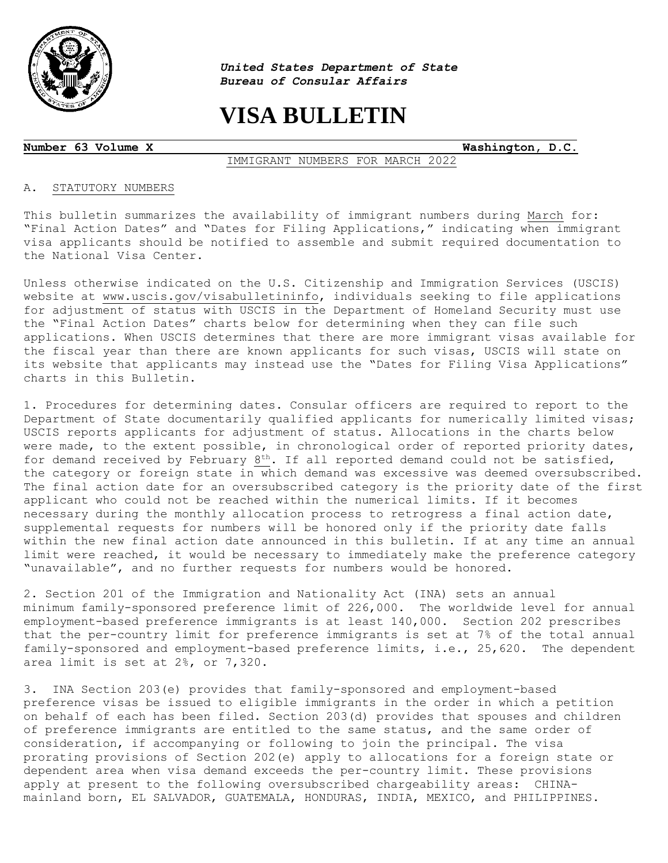

 $\overline{a}$ 

*United States Department of State Bureau of Consular Affairs*

# **VISA BULLETIN**

**Number 63 Volume X Washington, D.C.**

#### IMMIGRANT NUMBERS FOR MARCH 2022

#### A. STATUTORY NUMBERS

This bulletin summarizes the availability of immigrant numbers during March for: "Final Action Dates" and "Dates for Filing Applications," indicating when immigrant visa applicants should be notified to assemble and submit required documentation to the National Visa Center.

Unless otherwise indicated on the U.S. Citizenship and Immigration Services (USCIS) website at [www.uscis.gov/visabulletininfo,](http://www.uscis.gov/visabulletininfo) individuals seeking to file applications for adjustment of status with USCIS in the Department of Homeland Security must use the "Final Action Dates" charts below for determining when they can file such applications. When USCIS determines that there are more immigrant visas available for the fiscal year than there are known applicants for such visas, USCIS will state on its website that applicants may instead use the "Dates for Filing Visa Applications" charts in this Bulletin.

1. Procedures for determining dates. Consular officers are required to report to the Department of State documentarily qualified applicants for numerically limited visas; USCIS reports applicants for adjustment of status. Allocations in the charts below were made, to the extent possible, in chronological order of reported priority dates, for demand received by February 8<sup>th</sup>. If all reported demand could not be satisfied, the category or foreign state in which demand was excessive was deemed oversubscribed. The final action date for an oversubscribed category is the priority date of the first applicant who could not be reached within the numerical limits. If it becomes necessary during the monthly allocation process to retrogress a final action date, supplemental requests for numbers will be honored only if the priority date falls within the new final action date announced in this bulletin. If at any time an annual limit were reached, it would be necessary to immediately make the preference category "unavailable", and no further requests for numbers would be honored.

2. Section 201 of the Immigration and Nationality Act (INA) sets an annual minimum family-sponsored preference limit of 226,000. The worldwide level for annual employment-based preference immigrants is at least 140,000. Section 202 prescribes that the per-country limit for preference immigrants is set at 7% of the total annual family-sponsored and employment-based preference limits, i.e., 25,620. The dependent area limit is set at 2%, or 7,320.

3. INA Section 203(e) provides that family-sponsored and employment-based preference visas be issued to eligible immigrants in the order in which a petition on behalf of each has been filed. Section 203(d) provides that spouses and children of preference immigrants are entitled to the same status, and the same order of consideration, if accompanying or following to join the principal. The visa prorating provisions of Section 202(e) apply to allocations for a foreign state or dependent area when visa demand exceeds the per-country limit. These provisions apply at present to the following oversubscribed chargeability areas: CHINAmainland born, EL SALVADOR, GUATEMALA, HONDURAS, INDIA, MEXICO, and PHILIPPINES.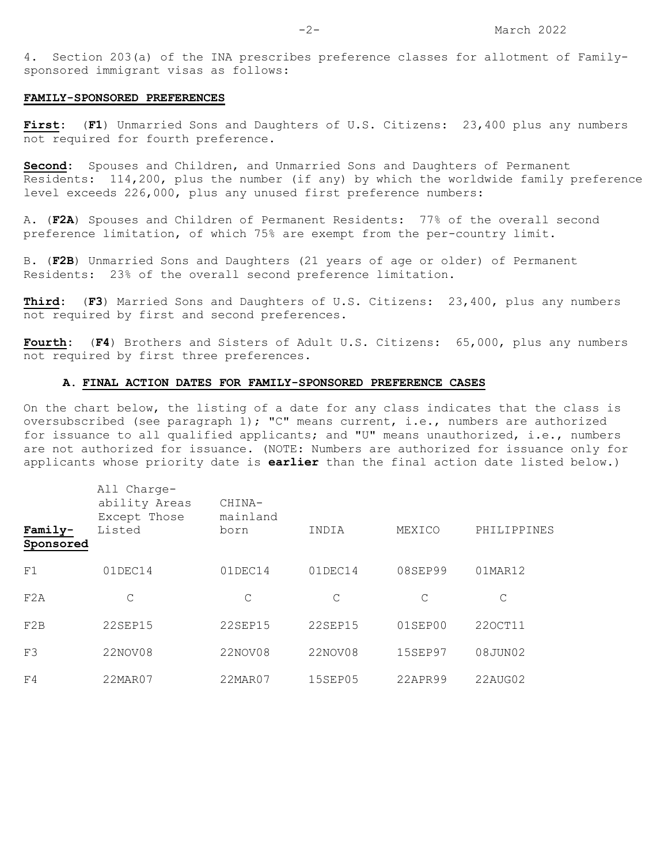4. Section 203(a) of the INA prescribes preference classes for allotment of Familysponsored immigrant visas as follows:

#### **FAMILY-SPONSORED PREFERENCES**

**First:** (**F1**) Unmarried Sons and Daughters of U.S. Citizens: 23,400 plus any numbers not required for fourth preference.

**Second:** Spouses and Children, and Unmarried Sons and Daughters of Permanent Residents: 114,200, plus the number (if any) by which the worldwide family preference level exceeds 226,000, plus any unused first preference numbers:

A. (**F2A**) Spouses and Children of Permanent Residents: 77% of the overall second preference limitation, of which 75% are exempt from the per-country limit.

B. (**F2B**) Unmarried Sons and Daughters (21 years of age or older) of Permanent Residents: 23% of the overall second preference limitation.

**Third:** (**F3**) Married Sons and Daughters of U.S. Citizens: 23,400, plus any numbers not required by first and second preferences.

**Fourth:** (**F4**) Brothers and Sisters of Adult U.S. Citizens: 65,000, plus any numbers not required by first three preferences.

#### **A. FINAL ACTION DATES FOR FAMILY-SPONSORED PREFERENCE CASES**

On the chart below, the listing of a date for any class indicates that the class is oversubscribed (see paragraph 1); "C" means current, i.e., numbers are authorized for issuance to all qualified applicants; and "U" means unauthorized, i.e., numbers are not authorized for issuance. (NOTE: Numbers are authorized for issuance only for applicants whose priority date is **earlier** than the final action date listed below.)

| Family-<br>Sponsored | All Charge-<br>ability Areas<br>Except Those<br>Listed | CHINA-<br>mainland<br>born | INDIA          | MEXICO         | PHILIPPINES |
|----------------------|--------------------------------------------------------|----------------------------|----------------|----------------|-------------|
| F1                   | 01DEC14                                                | 01DEC14                    | 01DEC14        | 08SEP99        | 01MAR12     |
| F2A                  | C                                                      | C                          | C              | C              | C           |
| F2B                  | 22SEP15                                                | <b>22SEP15</b>             | 22SEP15        | $01$ SEP $00$  | 220CT11     |
| F3                   | 22NOV08                                                | 22NOV08                    | 22NOV08        | <b>15SEP97</b> | 08JUN02     |
| F <sub>4</sub>       | 22MAR07                                                | 22MAR07                    | <b>15SEP05</b> | 22APR99        | 22AUG02     |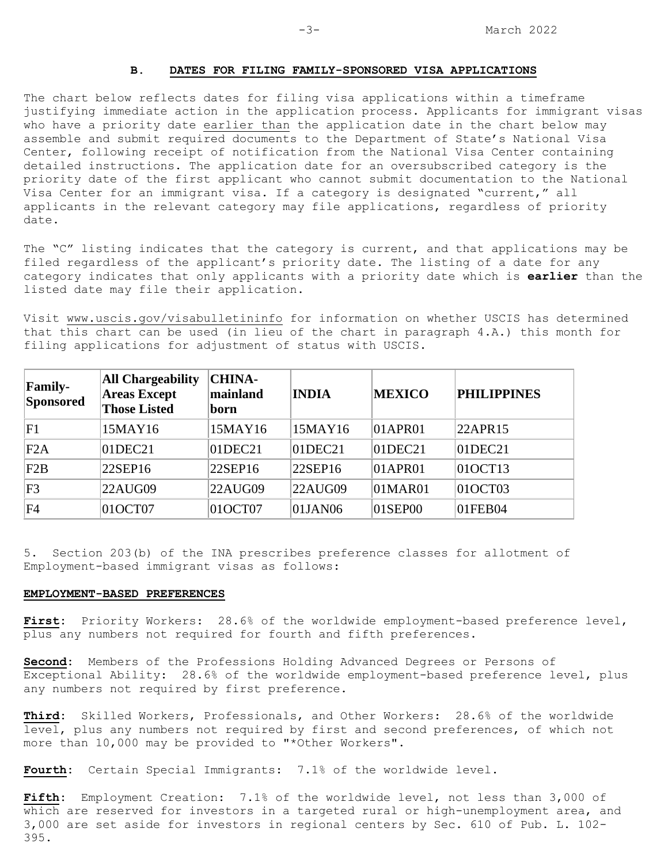### **B. DATES FOR FILING FAMILY-SPONSORED VISA APPLICATIONS**

The chart below reflects dates for filing visa applications within a timeframe justifying immediate action in the application process. Applicants for immigrant visas who have a priority date earlier than the application date in the chart below may assemble and submit required documents to the Department of State's National Visa Center, following receipt of notification from the National Visa Center containing detailed instructions. The application date for an oversubscribed category is the priority date of the first applicant who cannot submit documentation to the National Visa Center for an immigrant visa. If a category is designated "current," all applicants in the relevant category may file applications, regardless of priority date.

The "C" listing indicates that the category is current, and that applications may be filed regardless of the applicant's priority date. The listing of a date for any category indicates that only applicants with a priority date which is **earlier** than the listed date may file their application.

Visit [www.uscis.gov/visabulletininfo](http://www.uscis.gov/visabulletininfo) for information on whether USCIS has determined that this chart can be used (in lieu of the chart in paragraph 4.A.) this month for filing applications for adjustment of status with USCIS.

| <b>Family-</b><br>Sponsored | <b>All Chargeability</b><br><b>Areas Except</b><br><b>Those Listed</b> | <b>CHINA-</b><br>mainland<br>born | <b>INDIA</b>  | <b>MEXICO</b>  | <b>PHILIPPINES</b> |
|-----------------------------|------------------------------------------------------------------------|-----------------------------------|---------------|----------------|--------------------|
| F1                          | 15MAY16                                                                | 15MAY16                           | 15MAY16       | 01APRO1        | 22APR15            |
| F2A                         | $01$ DEC21                                                             | $01$ DEC21                        | $ 01$ DEC21   | $ 01$ DEC21    | $ 01$ DEC21        |
| F2B                         | 22SEP16                                                                | 22SEP16                           | $ 22$ SEP16   | 01APRO1        | 01OCT13            |
| F <sub>3</sub>              | 22AUG09                                                                | 22AUG09                           | $22AU$ G09    | 01MAR01        | 01OCT03            |
| FA                          | 01OCT07                                                                | 01OCT07                           | $01$ JAN $06$ | $ 01$ SEP $00$ | 01FEB04            |

5. Section 203(b) of the INA prescribes preference classes for allotment of Employment-based immigrant visas as follows:

#### **EMPLOYMENT-BASED PREFERENCES**

**First:** Priority Workers: 28.6% of the worldwide employment-based preference level, plus any numbers not required for fourth and fifth preferences.

**Second:** Members of the Professions Holding Advanced Degrees or Persons of Exceptional Ability: 28.6% of the worldwide employment-based preference level, plus any numbers not required by first preference.

**Third:** Skilled Workers, Professionals, and Other Workers: 28.6% of the worldwide level, plus any numbers not required by first and second preferences, of which not more than 10,000 may be provided to "\*Other Workers".

**Fourth:** Certain Special Immigrants: 7.1% of the worldwide level.

**Fifth:** Employment Creation: 7.1% of the worldwide level, not less than 3,000 of which are reserved for investors in a targeted rural or high-unemployment area, and 3,000 are set aside for investors in regional centers by Sec. 610 of Pub. L. 102- 395.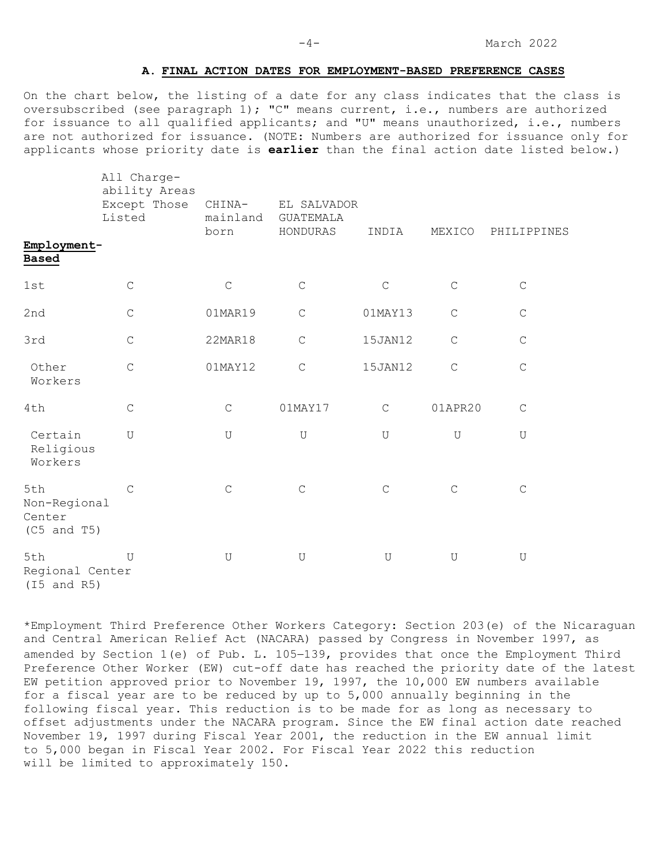#### **A. FINAL ACTION DATES FOR EMPLOYMENT-BASED PREFERENCE CASES**

On the chart below, the listing of a date for any class indicates that the class is oversubscribed (see paragraph 1); "C" means current, i.e., numbers are authorized for issuance to all qualified applicants; and "U" means unauthorized, i.e., numbers are not authorized for issuance. (NOTE: Numbers are authorized for issuance only for applicants whose priority date is **earlier** than the final action date listed below.)

|                                                  | All Charge-<br>ability Areas<br>Except Those<br>Listed | CHINA-<br>mainland<br>born | EL SALVADOR<br><b>GUATEMALA</b><br>HONDURAS | INDIA       | MEXICO      | PHILIPPINES |  |
|--------------------------------------------------|--------------------------------------------------------|----------------------------|---------------------------------------------|-------------|-------------|-------------|--|
| Employment-<br><b>Based</b>                      |                                                        |                            |                                             |             |             |             |  |
| 1st                                              | $\mathsf C$                                            | $\mathsf C$                | $\mathsf C$                                 | $\mathsf C$ | $\mathsf C$ | $\mathsf C$ |  |
| 2nd                                              | $\mathsf C$                                            | 01MAR19                    | $\mathsf C$                                 | 01MAY13     | $\mathsf C$ | $\mathsf C$ |  |
| 3rd                                              | $\mathsf C$                                            | 22MAR18                    | $\mathsf C$                                 | 15JAN12     | $\mathsf C$ | $\mathsf C$ |  |
| Other<br>Workers                                 | $\mathsf{C}$                                           | 01MAY12                    | $\mathsf C$                                 | 15JAN12     | $\mathsf C$ | $\mathsf C$ |  |
| 4th                                              | $\mathsf C$                                            | $\mathsf C$                | 01MAY17                                     | $\mathsf C$ | 01APR20     | $\mathbf C$ |  |
| Certain<br>Religious<br>Workers                  | U                                                      | U                          | $\mathbf U$                                 | U           | $\mathbf U$ | U           |  |
| 5th<br>Non-Regional<br>Center<br>$(C5$ and $T5)$ | $\mathsf{C}$                                           | $\mathsf C$                | $\mathsf C$                                 | $\mathsf C$ | $\mathsf C$ | $\mathsf C$ |  |
| 5th<br>Regional Center<br>$(15$ and $R5)$        | U                                                      | $\mathbf U$                | $\mathbf U$                                 | $\mathbf U$ | $\mathbf U$ | $\mathbf U$ |  |

\*Employment Third Preference Other Workers Category: Section 203(e) of the Nicaraguan and Central American Relief Act (NACARA) passed by Congress in November 1997, as amended by Section 1(e) of Pub. L. 105−139, provides that once the Employment Third Preference Other Worker (EW) cut-off date has reached the priority date of the latest EW petition approved prior to November 19, 1997, the 10,000 EW numbers available for a fiscal year are to be reduced by up to 5,000 annually beginning in the following fiscal year. This reduction is to be made for as long as necessary to offset adjustments under the NACARA program. Since the EW final action date reached November 19, 1997 during Fiscal Year 2001, the reduction in the EW annual limit to 5,000 began in Fiscal Year 2002. For Fiscal Year 2022 this reduction will be limited to approximately 150.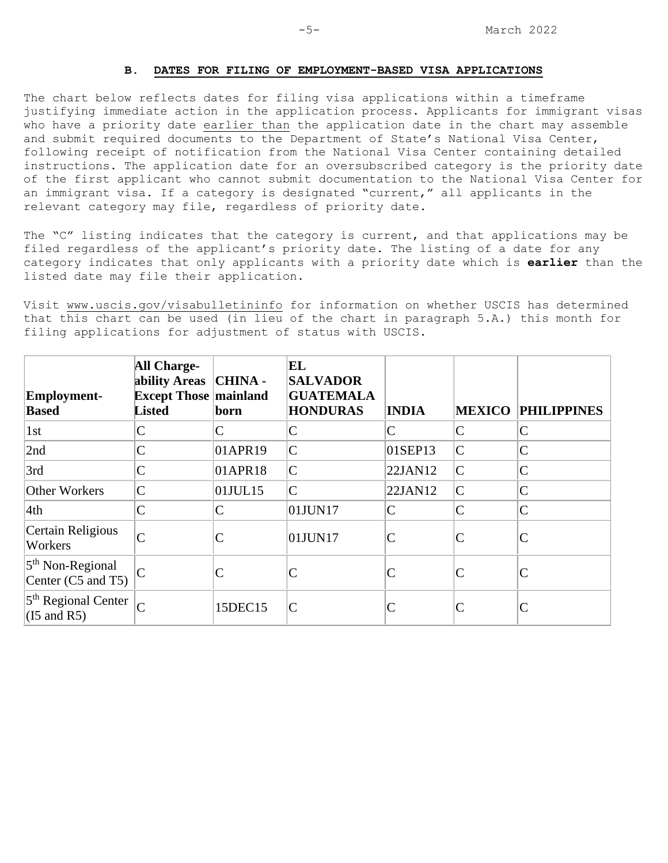### **B. DATES FOR FILING OF EMPLOYMENT-BASED VISA APPLICATIONS**

The chart below reflects dates for filing visa applications within a timeframe justifying immediate action in the application process. Applicants for immigrant visas who have a priority date earlier than the application date in the chart may assemble and submit required documents to the Department of State's National Visa Center, following receipt of notification from the National Visa Center containing detailed instructions. The application date for an oversubscribed category is the priority date of the first applicant who cannot submit documentation to the National Visa Center for an immigrant visa. If a category is designated "current," all applicants in the relevant category may file, regardless of priority date.

The "C" listing indicates that the category is current, and that applications may be filed regardless of the applicant's priority date. The listing of a date for any category indicates that only applicants with a priority date which is **earlier** than the listed date may file their application.

Visit [www.uscis.gov/visabulletininfo](http://www.uscis.gov/visabulletininfo) for information on whether USCIS has determined that this chart can be used (in lieu of the chart in paragraph 5.A.) this month for filing applications for adjustment of status with USCIS.

| Employment-<br><b>Based</b>                               | <b>All Charge-</b><br>ability Areas   CHINA -<br><b>Except Those mainland</b><br><b>Listed</b> | born                   | EL<br><b>SALVADOR</b><br><b>GUATEMALA</b><br><b>HONDURAS</b>                                                                                                                                                                                                                                                                                                                                                                                                                        | <b>INDIA</b> | <b>MEXICO</b>                                                           | <b>PHILIPPINES</b> |
|-----------------------------------------------------------|------------------------------------------------------------------------------------------------|------------------------|-------------------------------------------------------------------------------------------------------------------------------------------------------------------------------------------------------------------------------------------------------------------------------------------------------------------------------------------------------------------------------------------------------------------------------------------------------------------------------------|--------------|-------------------------------------------------------------------------|--------------------|
| 1st                                                       | $\mathsf{C}$                                                                                   | C                      | C                                                                                                                                                                                                                                                                                                                                                                                                                                                                                   | C            | $\mathcal{C}$                                                           | $\mathsf{C}$       |
| 2nd                                                       |                                                                                                | $01$ APR <sub>19</sub> | $\mathsf{C}% _{0}\!\left( \mathcal{M}_{0}\right) ^{T}\!\left( \mathcal{M}_{0}\right) ^{T}\!\left( \mathcal{M}_{0}\right) ^{T}\!\left( \mathcal{M}_{0}\right) ^{T}\!\left( \mathcal{M}_{0}\right) ^{T}\!\left( \mathcal{M}_{0}\right) ^{T}\!\left( \mathcal{M}_{0}\right) ^{T}\!\left( \mathcal{M}_{0}\right) ^{T}\!\left( \mathcal{M}_{0}\right) ^{T}\!\left( \mathcal{M}_{0}\right) ^{T}\!\left( \mathcal{M}_{0}\right) ^{T}\!\left( \mathcal{M}_{0}\right) ^{T}\!\left( \mathcal$ | 01SEP13      | $\mathsf{C}% _{0}\!\left( t\right) \in\mathcal{C}_{0}\!\left( 0\right)$ | $\mathsf{C}$       |
| 3rd                                                       | C                                                                                              | 01APR18                | $\overline{C}$                                                                                                                                                                                                                                                                                                                                                                                                                                                                      | 22JAN12      | $\overline{\text{C}}$                                                   | $\mathsf{C}$       |
| <b>Other Workers</b>                                      | $\mathcal{C}$                                                                                  | $01$ JUL $15$          | $\mathcal{C}$                                                                                                                                                                                                                                                                                                                                                                                                                                                                       | 22JAN12      | $\mathsf{C}$                                                            | $\overline{C}$     |
| 4th                                                       | $\mathsf{C}$                                                                                   | C                      | 01JUN17                                                                                                                                                                                                                                                                                                                                                                                                                                                                             | $\mathsf{C}$ | $\mathsf{C}$                                                            | $\overline{C}$     |
| Certain Religious<br>Workers                              | $\sqrt{ }$                                                                                     |                        | 01JUN17                                                                                                                                                                                                                                                                                                                                                                                                                                                                             |              | $\mathcal{C}$                                                           | $\mathcal{C}$      |
| $5th$ Non-Regional<br>Center (C5 and T5)                  |                                                                                                |                        | C                                                                                                                                                                                                                                                                                                                                                                                                                                                                                   |              | $\mathcal{C}$                                                           | $\mathsf{C}$       |
| 5 <sup>th</sup> Regional Center<br>$(I5 \text{ and } R5)$ |                                                                                                | 15DEC15                | $\mathcal{C}$                                                                                                                                                                                                                                                                                                                                                                                                                                                                       |              | $\mathsf{C}$                                                            | C                  |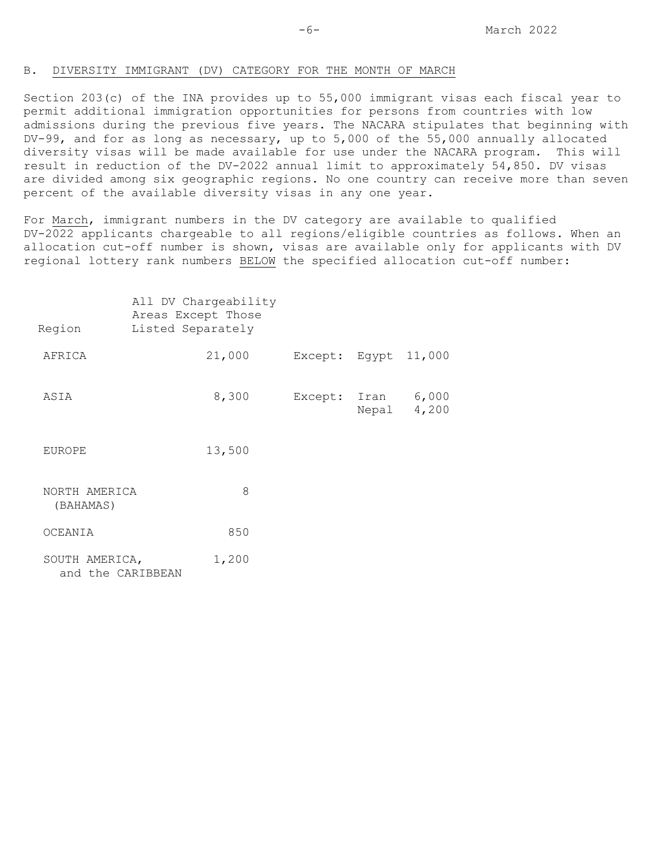#### B. DIVERSITY IMMIGRANT (DV) CATEGORY FOR THE MONTH OF MARCH

Section 203(c) of the INA provides up to 55,000 immigrant visas each fiscal year to permit additional immigration opportunities for persons from countries with low admissions during the previous five years. The NACARA stipulates that beginning with DV-99, and for as long as necessary, up to 5,000 of the 55,000 annually allocated diversity visas will be made available for use under the NACARA program. This will result in reduction of the DV-2022 annual limit to approximately 54,850. DV visas are divided among six geographic regions. No one country can receive more than seven percent of the available diversity visas in any one year.

For March, immigrant numbers in the DV category are available to qualified DV-2022 applicants chargeable to all regions/eligible countries as follows. When an allocation cut-off number is shown, visas are available only for applicants with DV regional lottery rank numbers BELOW the specified allocation cut-off number:

| Region                              | Listed Separately | All DV Chargeability<br>Areas Except Those |               |       |                |
|-------------------------------------|-------------------|--------------------------------------------|---------------|-------|----------------|
| AFRICA                              |                   | 21,000                                     | Except: Egypt |       | 11,000         |
| ASIA                                |                   | 8,300                                      | Except: Iran  | Nepal | 6,000<br>4,200 |
| <b>EUROPE</b>                       |                   | 13,500                                     |               |       |                |
| NORTH AMERICA<br>(BAHAMAS)          |                   | 8                                          |               |       |                |
| OCEANIA                             |                   | 850                                        |               |       |                |
| SOUTH AMERICA,<br>and the CARIBBEAN |                   | 1,200                                      |               |       |                |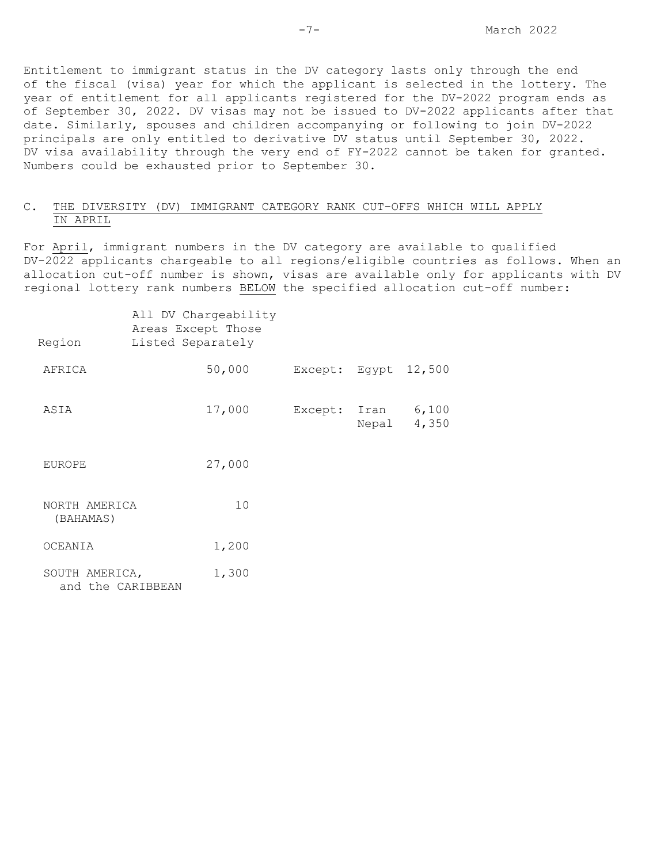Entitlement to immigrant status in the DV category lasts only through the end of the fiscal (visa) year for which the applicant is selected in the lottery. The year of entitlement for all applicants registered for the DV-2022 program ends as of September 30, 2022. DV visas may not be issued to DV-2022 applicants after that date. Similarly, spouses and children accompanying or following to join DV-2022 principals are only entitled to derivative DV status until September 30, 2022. DV visa availability through the very end of FY-2022 cannot be taken for granted. Numbers could be exhausted prior to September 30.

## C. THE DIVERSITY (DV) IMMIGRANT CATEGORY RANK CUT-OFFS WHICH WILL APPLY IN APRIL

For April, immigrant numbers in the DV category are available to qualified DV-2022 applicants chargeable to all regions/eligible countries as follows. When an allocation cut-off number is shown, visas are available only for applicants with DV regional lottery rank numbers BELOW the specified allocation cut-off number:

| Region                              | Listed Separately | All DV Chargeability<br>Areas Except Those |                      |       |                |
|-------------------------------------|-------------------|--------------------------------------------|----------------------|-------|----------------|
| AFRICA                              |                   | 50,000                                     | Except: Egypt 12,500 |       |                |
| ASIA                                |                   | 17,000                                     | Except: Iran         | Nepal | 6,100<br>4,350 |
| <b>EUROPE</b>                       |                   | 27,000                                     |                      |       |                |
| NORTH AMERICA<br>(BAHAMAS)          |                   | 10                                         |                      |       |                |
| OCEANIA                             |                   | 1,200                                      |                      |       |                |
| SOUTH AMERICA,<br>and the CARIBBEAN |                   | 1,300                                      |                      |       |                |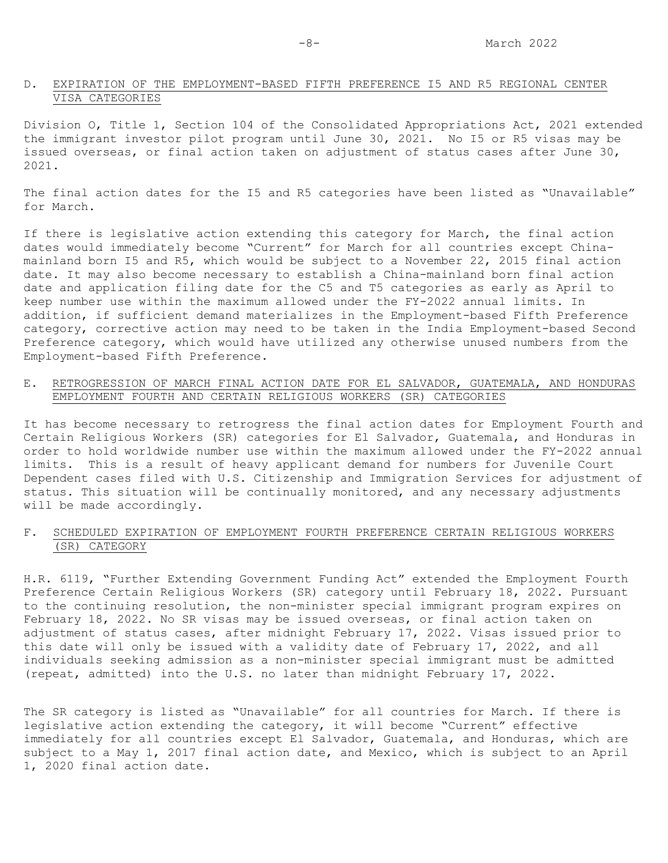### D. EXPIRATION OF THE EMPLOYMENT-BASED FIFTH PREFERENCE I5 AND R5 REGIONAL CENTER VISA CATEGORIES

Division O, Title 1, Section 104 of the Consolidated Appropriations Act, 2021 extended the immigrant investor pilot program until June 30, 2021. No I5 or R5 visas may be issued overseas, or final action taken on adjustment of status cases after June 30, 2021.

The final action dates for the I5 and R5 categories have been listed as "Unavailable" for March.

If there is legislative action extending this category for March, the final action dates would immediately become "Current" for March for all countries except Chinamainland born I5 and R5, which would be subject to a November 22, 2015 final action date. It may also become necessary to establish a China-mainland born final action date and application filing date for the C5 and T5 categories as early as April to keep number use within the maximum allowed under the FY-2022 annual limits. In addition, if sufficient demand materializes in the Employment-based Fifth Preference category, corrective action may need to be taken in the India Employment-based Second Preference category, which would have utilized any otherwise unused numbers from the Employment-based Fifth Preference.

## E**.** RETROGRESSION OF MARCH FINAL ACTION DATE FOR EL SALVADOR, GUATEMALA, AND HONDURAS EMPLOYMENT FOURTH AND CERTAIN RELIGIOUS WORKERS (SR) CATEGORIES

It has become necessary to retrogress the final action dates for Employment Fourth and Certain Religious Workers (SR) categories for El Salvador, Guatemala, and Honduras in order to hold worldwide number use within the maximum allowed under the FY-2022 annual limits. This is a result of heavy applicant demand for numbers for Juvenile Court Dependent cases filed with U.S. Citizenship and Immigration Services for adjustment of status. This situation will be continually monitored, and any necessary adjustments will be made accordingly.

## F**.** SCHEDULED EXPIRATION OF EMPLOYMENT FOURTH PREFERENCE CERTAIN RELIGIOUS WORKERS (SR) CATEGORY

H.R. 6119, "Further Extending Government Funding Act" extended the Employment Fourth Preference Certain Religious Workers (SR) category until February 18, 2022. Pursuant to the continuing resolution, the non-minister special immigrant program expires on February 18, 2022. No SR visas may be issued overseas, or final action taken on adjustment of status cases, after midnight February 17, 2022. Visas issued prior to this date will only be issued with a validity date of February 17, 2022, and all individuals seeking admission as a non-minister special immigrant must be admitted (repeat, admitted) into the U.S. no later than midnight February 17, 2022.

The SR category is listed as "Unavailable" for all countries for March. If there is legislative action extending the category, it will become "Current" effective immediately for all countries except El Salvador, Guatemala, and Honduras, which are subject to a May 1, 2017 final action date, and Mexico, which is subject to an April 1, 2020 final action date.